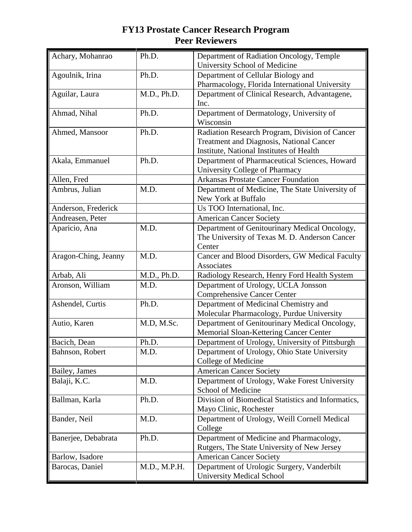| Achary, Mohanrao     | Ph.D.        | Department of Radiation Oncology, Temple<br>University School of Medicine                                                              |
|----------------------|--------------|----------------------------------------------------------------------------------------------------------------------------------------|
| Agoulnik, Irina      | Ph.D.        | Department of Cellular Biology and<br>Pharmacology, Florida International University                                                   |
| Aguilar, Laura       | M.D., Ph.D.  | Department of Clinical Research, Advantagene,<br>Inc.                                                                                  |
| Ahmad, Nihal         | Ph.D.        | Department of Dermatology, University of<br>Wisconsin                                                                                  |
| Ahmed, Mansoor       | Ph.D.        | Radiation Research Program, Division of Cancer<br>Treatment and Diagnosis, National Cancer<br>Institute, National Institutes of Health |
| Akala, Emmanuel      | Ph.D.        | Department of Pharmaceutical Sciences, Howard<br>University College of Pharmacy                                                        |
| Allen, Fred          |              | <b>Arkansas Prostate Cancer Foundation</b>                                                                                             |
| Ambrus, Julian       | M.D.         | Department of Medicine, The State University of<br>New York at Buffalo                                                                 |
| Anderson, Frederick  |              | Us TOO International, Inc.                                                                                                             |
| Andreasen, Peter     |              | <b>American Cancer Society</b>                                                                                                         |
| Aparicio, Ana        | M.D.         | Department of Genitourinary Medical Oncology,<br>The University of Texas M. D. Anderson Cancer<br>Center                               |
| Aragon-Ching, Jeanny | M.D.         | Cancer and Blood Disorders, GW Medical Faculty<br>Associates                                                                           |
| Arbab, Ali           | M.D., Ph.D.  | Radiology Research, Henry Ford Health System                                                                                           |
| Aronson, William     | M.D.         | Department of Urology, UCLA Jonsson<br><b>Comprehensive Cancer Center</b>                                                              |
| Ashendel, Curtis     | Ph.D.        | Department of Medicinal Chemistry and<br>Molecular Pharmacology, Purdue University                                                     |
| Autio, Karen         | M.D, M.Sc.   | Department of Genitourinary Medical Oncology,<br>Memorial Sloan-Kettering Cancer Center                                                |
| Bacich, Dean         | Ph.D.        | Department of Urology, University of Pittsburgh                                                                                        |
| Bahnson, Robert      | M.D.         | Department of Urology, Ohio State University<br>College of Medicine                                                                    |
| Bailey, James        |              | <b>American Cancer Society</b>                                                                                                         |
| Balaji, K.C.         | M.D.         | Department of Urology, Wake Forest University<br>School of Medicine                                                                    |
| Ballman, Karla       | Ph.D.        | Division of Biomedical Statistics and Informatics,<br>Mayo Clinic, Rochester                                                           |
| Bander, Neil         | M.D.         | Department of Urology, Weill Cornell Medical<br>College                                                                                |
| Banerjee, Debabrata  | Ph.D.        | Department of Medicine and Pharmacology,<br>Rutgers, The State University of New Jersey                                                |
| Barlow, Isadore      |              | <b>American Cancer Society</b>                                                                                                         |
| Barocas, Daniel      | M.D., M.P.H. | Department of Urologic Surgery, Vanderbilt<br><b>University Medical School</b>                                                         |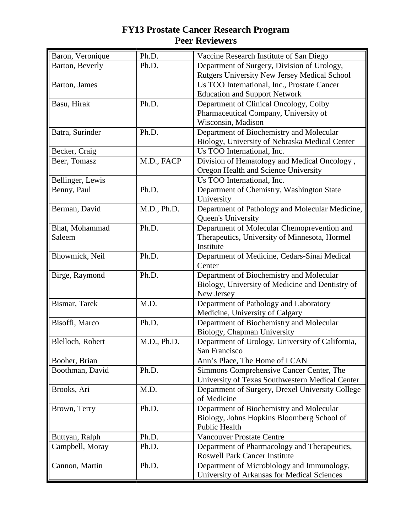| Baron, Veronique | Ph.D.       | Vaccine Research Institute of San Diego                                              |
|------------------|-------------|--------------------------------------------------------------------------------------|
| Barton, Beverly  | Ph.D.       | Department of Surgery, Division of Urology,                                          |
|                  |             | Rutgers University New Jersey Medical School                                         |
| Barton, James    |             | Us TOO International, Inc., Prostate Cancer                                          |
|                  |             | <b>Education and Support Network</b>                                                 |
| Basu, Hirak      | Ph.D.       | Department of Clinical Oncology, Colby                                               |
|                  |             | Pharmaceutical Company, University of                                                |
|                  |             | Wisconsin, Madison                                                                   |
| Batra, Surinder  | Ph.D.       | Department of Biochemistry and Molecular                                             |
|                  |             | Biology, University of Nebraska Medical Center                                       |
| Becker, Craig    |             | Us TOO International, Inc.                                                           |
| Beer, Tomasz     | M.D., FACP  | Division of Hematology and Medical Oncology,                                         |
|                  |             | Oregon Health and Science University                                                 |
| Bellinger, Lewis |             | Us TOO International, Inc.                                                           |
| Benny, Paul      | Ph.D.       | Department of Chemistry, Washington State                                            |
|                  |             | University                                                                           |
| Berman, David    | M.D., Ph.D. | Department of Pathology and Molecular Medicine,                                      |
|                  |             | Queen's University                                                                   |
| Bhat, Mohammad   | Ph.D.       | Department of Molecular Chemoprevention and                                          |
| Saleem           |             | Therapeutics, University of Minnesota, Hormel                                        |
|                  |             | Institute                                                                            |
| Bhowmick, Neil   | Ph.D.       | Department of Medicine, Cedars-Sinai Medical                                         |
|                  |             | Center                                                                               |
| Birge, Raymond   | Ph.D.       | Department of Biochemistry and Molecular                                             |
|                  |             | Biology, University of Medicine and Dentistry of                                     |
|                  |             | New Jersey                                                                           |
| Bismar, Tarek    | M.D.        | Department of Pathology and Laboratory                                               |
|                  |             | Medicine, University of Calgary                                                      |
| Bisoffi, Marco   | Ph.D.       | Department of Biochemistry and Molecular                                             |
|                  |             | Biology, Chapman University                                                          |
| Blelloch, Robert | M.D., Ph.D. | Department of Urology, University of California,                                     |
|                  |             | San Francisco                                                                        |
| Booher, Brian    |             | Ann's Place, The Home of I CAN                                                       |
| Boothman, David  | Ph.D.       | Simmons Comprehensive Cancer Center, The                                             |
|                  |             | University of Texas Southwestern Medical Center                                      |
| Brooks, Ari      | M.D.        | Department of Surgery, Drexel University College                                     |
|                  |             | of Medicine                                                                          |
| Brown, Terry     | Ph.D.       | Department of Biochemistry and Molecular                                             |
|                  |             | Biology, Johns Hopkins Bloomberg School of<br><b>Public Health</b>                   |
|                  | Ph.D.       | <b>Vancouver Prostate Centre</b>                                                     |
| Buttyan, Ralph   | Ph.D.       |                                                                                      |
| Campbell, Moray  |             | Department of Pharmacology and Therapeutics,<br><b>Roswell Park Cancer Institute</b> |
| Cannon, Martin   | Ph.D.       | Department of Microbiology and Immunology,                                           |
|                  |             | University of Arkansas for Medical Sciences                                          |
|                  |             |                                                                                      |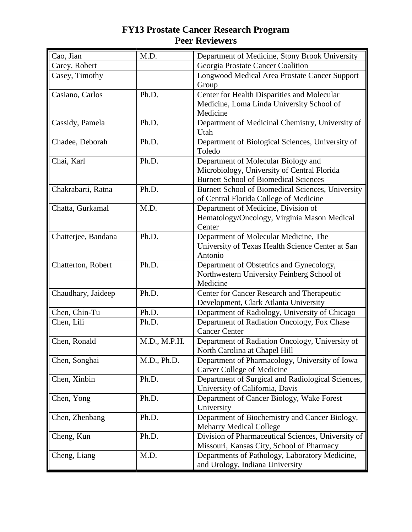| Cao, Jian           | M.D.         | Department of Medicine, Stony Brook University                                                                                     |
|---------------------|--------------|------------------------------------------------------------------------------------------------------------------------------------|
| Carey, Robert       |              | Georgia Prostate Cancer Coalition                                                                                                  |
| Casey, Timothy      |              | Longwood Medical Area Prostate Cancer Support<br>Group                                                                             |
| Casiano, Carlos     | Ph.D.        | Center for Health Disparities and Molecular<br>Medicine, Loma Linda University School of<br>Medicine                               |
| Cassidy, Pamela     | Ph.D.        | Department of Medicinal Chemistry, University of<br>Utah                                                                           |
| Chadee, Deborah     | Ph.D.        | Department of Biological Sciences, University of<br>Toledo                                                                         |
| Chai, Karl          | Ph.D.        | Department of Molecular Biology and<br>Microbiology, University of Central Florida<br><b>Burnett School of Biomedical Sciences</b> |
| Chakrabarti, Ratna  | Ph.D.        | Burnett School of Biomedical Sciences, University<br>of Central Florida College of Medicine                                        |
| Chatta, Gurkamal    | M.D.         | Department of Medicine, Division of<br>Hematology/Oncology, Virginia Mason Medical<br>Center                                       |
| Chatterjee, Bandana | Ph.D.        | Department of Molecular Medicine, The<br>University of Texas Health Science Center at San<br>Antonio                               |
| Chatterton, Robert  | Ph.D.        | Department of Obstetrics and Gynecology,<br>Northwestern University Feinberg School of<br>Medicine                                 |
| Chaudhary, Jaideep  | Ph.D.        | Center for Cancer Research and Therapeutic<br>Development, Clark Atlanta University                                                |
| Chen, Chin-Tu       | Ph.D.        | Department of Radiology, University of Chicago                                                                                     |
| Chen, Lili          | Ph.D.        | Department of Radiation Oncology, Fox Chase<br><b>Cancer Center</b>                                                                |
| Chen, Ronald        | M.D., M.P.H. | Department of Radiation Oncology, University of<br>North Carolina at Chapel Hill                                                   |
| Chen, Songhai       | M.D., Ph.D.  | Department of Pharmacology, University of Iowa<br>Carver College of Medicine                                                       |
| Chen, Xinbin        | Ph.D.        | Department of Surgical and Radiological Sciences,<br>University of California, Davis                                               |
| Chen, Yong          | Ph.D.        | Department of Cancer Biology, Wake Forest<br>University                                                                            |
| Chen, Zhenbang      | Ph.D.        | Department of Biochemistry and Cancer Biology,<br><b>Meharry Medical College</b>                                                   |
| Cheng, Kun          | Ph.D.        | Division of Pharmaceutical Sciences, University of<br>Missouri, Kansas City, School of Pharmacy                                    |
| Cheng, Liang        | M.D.         | Departments of Pathology, Laboratory Medicine,<br>and Urology, Indiana University                                                  |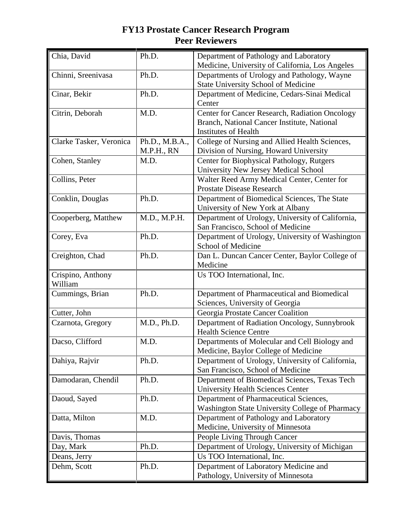| Chia, David                  | Ph.D.                        | Department of Pathology and Laboratory<br>Medicine, University of California, Los Angeles                                    |
|------------------------------|------------------------------|------------------------------------------------------------------------------------------------------------------------------|
| Chinni, Sreenivasa           | Ph.D.                        | Departments of Urology and Pathology, Wayne<br><b>State University School of Medicine</b>                                    |
| Cinar, Bekir                 | Ph.D.                        | Department of Medicine, Cedars-Sinai Medical<br>Center                                                                       |
| Citrin, Deborah              | M.D.                         | Center for Cancer Research, Radiation Oncology<br>Branch, National Cancer Institute, National<br><b>Institutes of Health</b> |
| Clarke Tasker, Veronica      | Ph.D., M.B.A.,<br>M.P.H., RN | College of Nursing and Allied Health Sciences,<br>Division of Nursing, Howard University                                     |
| Cohen, Stanley               | M.D.                         | Center for Biophysical Pathology, Rutgers<br>University New Jersey Medical School                                            |
| Collins, Peter               |                              | Walter Reed Army Medical Center, Center for<br><b>Prostate Disease Research</b>                                              |
| Conklin, Douglas             | Ph.D.                        | Department of Biomedical Sciences, The State<br>University of New York at Albany                                             |
| Cooperberg, Matthew          | M.D., M.P.H.                 | Department of Urology, University of California,<br>San Francisco, School of Medicine                                        |
| Corey, Eva                   | Ph.D.                        | Department of Urology, University of Washington<br>School of Medicine                                                        |
| Creighton, Chad              | Ph.D.                        | Dan L. Duncan Cancer Center, Baylor College of<br>Medicine                                                                   |
| Crispino, Anthony<br>William |                              | Us TOO International, Inc.                                                                                                   |
| Cummings, Brian              | Ph.D.                        | Department of Pharmaceutical and Biomedical<br>Sciences, University of Georgia                                               |
| Cutter, John                 |                              | Georgia Prostate Cancer Coalition                                                                                            |
| Czarnota, Gregory            | M.D., Ph.D.                  | Department of Radiation Oncology, Sunnybrook<br><b>Health Science Centre</b>                                                 |
| Dacso, Clifford              | M.D.                         | Departments of Molecular and Cell Biology and<br>Medicine, Baylor College of Medicine                                        |
| Dahiya, Rajvir               | Ph.D.                        | Department of Urology, University of California,<br>San Francisco, School of Medicine                                        |
| Damodaran, Chendil           | Ph.D.                        | Department of Biomedical Sciences, Texas Tech<br><b>University Health Sciences Center</b>                                    |
| Daoud, Sayed                 | Ph.D.                        | Department of Pharmaceutical Sciences,<br><b>Washington State University College of Pharmacy</b>                             |
| Datta, Milton                | M.D.                         | Department of Pathology and Laboratory<br>Medicine, University of Minnesota                                                  |
| Davis, Thomas                |                              | People Living Through Cancer                                                                                                 |
| Day, Mark                    | Ph.D.                        | Department of Urology, University of Michigan                                                                                |
| Deans, Jerry                 |                              | Us TOO International, Inc.                                                                                                   |
| Dehm, Scott                  | Ph.D.                        | Department of Laboratory Medicine and<br>Pathology, University of Minnesota                                                  |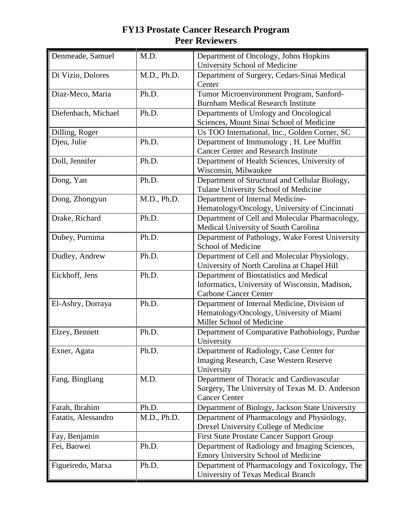| Denmeade, Samuel    | M.D.        | Department of Oncology, Johns Hopkins<br>University School of Medicine                                                    |
|---------------------|-------------|---------------------------------------------------------------------------------------------------------------------------|
| Di Vizio, Dolores   | M.D., Ph.D. | Department of Surgery, Cedars-Sinai Medical<br>Center                                                                     |
| Diaz-Meco, Maria    | Ph.D.       | Tumor Microenvironment Program, Sanford-<br><b>Burnham Medical Research Institute</b>                                     |
| Diefenbach, Michael | Ph.D.       | Departments of Urology and Oncological<br>Sciences, Mount Sinai School of Medicine                                        |
| Dilling, Roger      |             | Us TOO International, Inc., Golden Corner, SC                                                                             |
| Djeu, Julie         | Ph.D.       | Department of Immunology, H. Lee Moffitt<br><b>Cancer Center and Research Institute</b>                                   |
| Doll, Jennifer      | Ph.D.       | Department of Health Sciences, University of<br>Wisconsin, Milwaukee                                                      |
| Dong, Yan           | Ph.D.       | Department of Structural and Cellular Biology,<br>Tulane University School of Medicine                                    |
| Dong, Zhongyun      | M.D., Ph.D. | Department of Internal Medicine-<br>Hematology/Oncology, University of Cincinnati                                         |
| Drake, Richard      | Ph.D.       | Department of Cell and Molecular Pharmacology,<br>Medical University of South Carolina                                    |
| Dubey, Purnima      | Ph.D.       | Department of Pathology, Wake Forest University<br>School of Medicine                                                     |
| Dudley, Andrew      | Ph.D.       | Department of Cell and Molecular Physiology,<br>University of North Carolina at Chapel Hill                               |
| Eickhoff, Jens      | Ph.D.       | Department of Biostatistics and Medical<br>Informatics, University of Wisconsin, Madison,<br><b>Carbone Cancer Center</b> |
| El-Ashry, Dorraya   | Ph.D.       | Department of Internal Medicine, Division of<br>Hematology/Oncology, University of Miami<br>Miller School of Medicine     |
| Elzey, Bennett      | Ph.D.       | Department of Comparative Pathobiology, Purdue<br>University                                                              |
| Exner, Agata        | Ph.D.       | Department of Radiology, Case Center for<br>Imaging Research, Case Western Reserve<br>University                          |
| Fang, Bingliang     | M.D.        | Department of Thoracic and Cardiovascular<br>Surgery, The University of Texas M. D. Anderson<br><b>Cancer Center</b>      |
| Farah, Ibrahim      | Ph.D.       | Department of Biology, Jackson State University                                                                           |
| Fatatis, Alessandro | M.D., Ph.D. | Department of Pharmacology and Physiology,<br>Drexel University College of Medicine                                       |
| Fay, Benjamin       |             | <b>First State Prostate Cancer Support Group</b>                                                                          |
| Fei, Baowei         | Ph.D.       | Department of Radiology and Imaging Sciences,<br>Emory University School of Medicine                                      |
| Figueiredo, Marxa   | Ph.D.       | Department of Pharmacology and Toxicology, The<br>University of Texas Medical Branch                                      |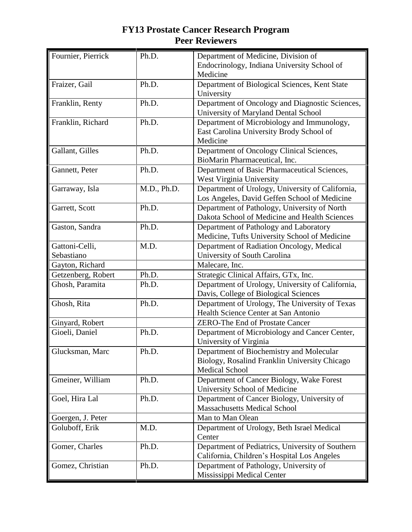| Fournier, Pierrick           | Ph.D.       | Department of Medicine, Division of<br>Endocrinology, Indiana University School of<br>Medicine                     |
|------------------------------|-------------|--------------------------------------------------------------------------------------------------------------------|
| Fraizer, Gail                | Ph.D.       | Department of Biological Sciences, Kent State<br>University                                                        |
| Franklin, Renty              | Ph.D.       | Department of Oncology and Diagnostic Sciences,<br>University of Maryland Dental School                            |
| Franklin, Richard            | Ph.D.       | Department of Microbiology and Immunology,<br>East Carolina University Brody School of<br>Medicine                 |
| Gallant, Gilles              | Ph.D.       | Department of Oncology Clinical Sciences,<br>BioMarin Pharmaceutical, Inc.                                         |
| Gannett, Peter               | Ph.D.       | Department of Basic Pharmaceutical Sciences,<br>West Virginia University                                           |
| Garraway, Isla               | M.D., Ph.D. | Department of Urology, University of California,<br>Los Angeles, David Geffen School of Medicine                   |
| Garrett, Scott               | Ph.D.       | Department of Pathology, University of North<br>Dakota School of Medicine and Health Sciences                      |
| Gaston, Sandra               | Ph.D.       | Department of Pathology and Laboratory<br>Medicine, Tufts University School of Medicine                            |
| Gattoni-Celli,<br>Sebastiano | M.D.        | Department of Radiation Oncology, Medical<br>University of South Carolina                                          |
| Gayton, Richard              |             | Malecare, Inc.                                                                                                     |
| Getzenberg, Robert           | Ph.D.       | Strategic Clinical Affairs, GTx, Inc.                                                                              |
| Ghosh, Paramita              | Ph.D.       | Department of Urology, University of California,<br>Davis, College of Biological Sciences                          |
| Ghosh, Rita                  | Ph.D.       | Department of Urology, The University of Texas<br>Health Science Center at San Antonio                             |
| Ginyard, Robert              |             | <b>ZERO-The End of Prostate Cancer</b>                                                                             |
| Gioeli, Daniel               | Ph.D.       | Department of Microbiology and Cancer Center,<br>University of Virginia                                            |
| Glucksman, Marc              | Ph.D.       | Department of Biochemistry and Molecular<br>Biology, Rosalind Franklin University Chicago<br><b>Medical School</b> |
| Gmeiner, William             | Ph.D.       | Department of Cancer Biology, Wake Forest<br>University School of Medicine                                         |
| Goel, Hira Lal               | Ph.D.       | Department of Cancer Biology, University of<br><b>Massachusetts Medical School</b>                                 |
| Goergen, J. Peter            |             | Man to Man Olean                                                                                                   |
| Goluboff, Erik               | M.D.        | Department of Urology, Beth Israel Medical<br>Center                                                               |
| Gomer, Charles               | Ph.D.       | Department of Pediatrics, University of Southern<br>California, Children's Hospital Los Angeles                    |
| Gomez, Christian             | Ph.D.       | Department of Pathology, University of<br>Mississippi Medical Center                                               |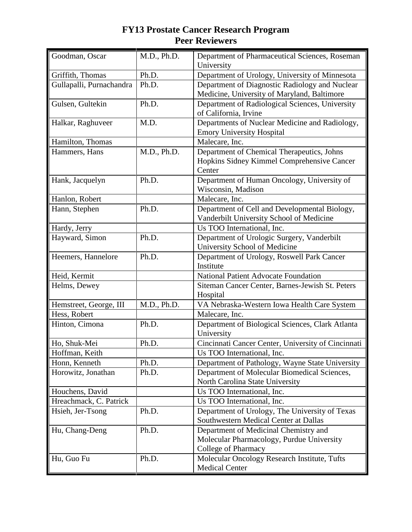| Goodman, Oscar           | M.D., Ph.D. | Department of Pharmaceutical Sciences, Roseman<br>University |
|--------------------------|-------------|--------------------------------------------------------------|
| Griffith, Thomas         | Ph.D.       | Department of Urology, University of Minnesota               |
| Gullapalli, Purnachandra | Ph.D.       | Department of Diagnostic Radiology and Nuclear               |
|                          |             | Medicine, University of Maryland, Baltimore                  |
| Gulsen, Gultekin         | Ph.D.       | Department of Radiological Sciences, University              |
|                          |             | of California, Irvine                                        |
| Halkar, Raghuveer        | M.D.        | Departments of Nuclear Medicine and Radiology,               |
|                          |             | <b>Emory University Hospital</b>                             |
| Hamilton, Thomas         |             | Malecare, Inc.                                               |
| Hammers, Hans            | M.D., Ph.D. | Department of Chemical Therapeutics, Johns                   |
|                          |             | Hopkins Sidney Kimmel Comprehensive Cancer                   |
|                          |             | Center                                                       |
| Hank, Jacquelyn          | Ph.D.       | Department of Human Oncology, University of                  |
|                          |             | Wisconsin, Madison                                           |
| Hanlon, Robert           |             | Malecare, Inc.                                               |
| Hann, Stephen            | Ph.D.       | Department of Cell and Developmental Biology,                |
|                          |             | Vanderbilt University School of Medicine                     |
| Hardy, Jerry             |             | Us TOO International, Inc.                                   |
| Hayward, Simon           | Ph.D.       | Department of Urologic Surgery, Vanderbilt                   |
|                          |             | University School of Medicine                                |
| Heemers, Hannelore       | Ph.D.       | Department of Urology, Roswell Park Cancer                   |
|                          |             | Institute                                                    |
| Heid, Kermit             |             | <b>National Patient Advocate Foundation</b>                  |
| Helms, Dewey             |             | Siteman Cancer Center, Barnes-Jewish St. Peters              |
|                          |             | Hospital                                                     |
| Hemstreet, George, III   | M.D., Ph.D. | VA Nebraska-Western Iowa Health Care System                  |
| Hess, Robert             |             | Malecare, Inc.                                               |
| Hinton, Cimona           | Ph.D.       | Department of Biological Sciences, Clark Atlanta             |
|                          |             | University                                                   |
| Ho, Shuk-Mei             | Ph.D.       | Cincinnati Cancer Center, University of Cincinnati           |
| Hoffman, Keith           |             | Us TOO International, Inc.                                   |
| Honn, Kenneth            | Ph.D.       | Department of Pathology, Wayne State University              |
| Horowitz, Jonathan       | Ph.D.       | Department of Molecular Biomedical Sciences,                 |
|                          |             | North Carolina State University                              |
| Houchens, David          |             | Us TOO International, Inc.                                   |
| Hreachmack, C. Patrick   |             | Us TOO International, Inc.                                   |
| Hsieh, Jer-Tsong         | Ph.D.       | Department of Urology, The University of Texas               |
|                          |             | Southwestern Medical Center at Dallas                        |
| Hu, Chang-Deng           | Ph.D.       | Department of Medicinal Chemistry and                        |
|                          |             | Molecular Pharmacology, Purdue University                    |
|                          |             | College of Pharmacy                                          |
| Hu, Guo Fu               | Ph.D.       | Molecular Oncology Research Institute, Tufts                 |
|                          |             | <b>Medical Center</b>                                        |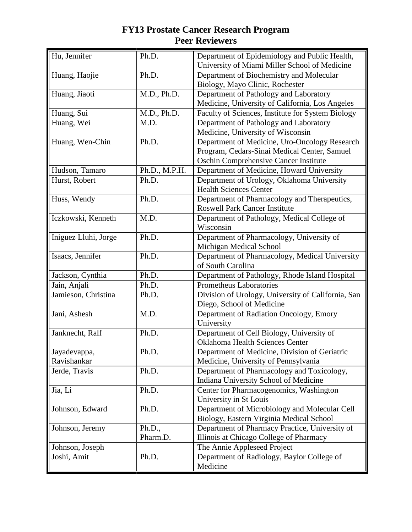| Hu, Jennifer                | Ph.D.              | Department of Epidemiology and Public Health,<br>University of Miami Miller School of Medicine                                                |
|-----------------------------|--------------------|-----------------------------------------------------------------------------------------------------------------------------------------------|
| Huang, Haojie               | Ph.D.              | Department of Biochemistry and Molecular<br>Biology, Mayo Clinic, Rochester                                                                   |
| Huang, Jiaoti               | M.D., Ph.D.        | Department of Pathology and Laboratory<br>Medicine, University of California, Los Angeles                                                     |
| Huang, Sui                  | M.D., Ph.D.        | Faculty of Sciences, Institute for System Biology                                                                                             |
| Huang, Wei                  | M.D.               | Department of Pathology and Laboratory<br>Medicine, University of Wisconsin                                                                   |
| Huang, Wen-Chin             | Ph.D.              | Department of Medicine, Uro-Oncology Research<br>Program, Cedars-Sinai Medical Center, Samuel<br><b>Oschin Comprehensive Cancer Institute</b> |
| Hudson, Tamaro              | Ph.D., M.P.H.      | Department of Medicine, Howard University                                                                                                     |
| Hurst, Robert               | Ph.D.              | Department of Urology, Oklahoma University<br><b>Health Sciences Center</b>                                                                   |
| Huss, Wendy                 | Ph.D.              | Department of Pharmacology and Therapeutics,<br><b>Roswell Park Cancer Institute</b>                                                          |
| Iczkowski, Kenneth          | M.D.               | Department of Pathology, Medical College of<br>Wisconsin                                                                                      |
| Iniguez Lluhi, Jorge        | Ph.D.              | Department of Pharmacology, University of<br>Michigan Medical School                                                                          |
| Isaacs, Jennifer            | Ph.D.              | Department of Pharmacology, Medical University<br>of South Carolina                                                                           |
| Jackson, Cynthia            | Ph.D.              | Department of Pathology, Rhode Island Hospital                                                                                                |
| Jain, Anjali                | Ph.D.              | Prometheus Laboratories                                                                                                                       |
| Jamieson, Christina         | Ph.D.              | Division of Urology, University of California, San<br>Diego, School of Medicine                                                               |
| Jani, Ashesh                | M.D.               | Department of Radiation Oncology, Emory<br>University                                                                                         |
| Janknecht, Ralf             | Ph.D.              | Department of Cell Biology, University of<br>Oklahoma Health Sciences Center                                                                  |
| Jayadevappa,<br>Ravishankar | Ph.D.              | Department of Medicine, Division of Geriatric<br>Medicine, University of Pennsylvania                                                         |
| Jerde, Travis               | Ph.D.              | Department of Pharmacology and Toxicology,<br>Indiana University School of Medicine                                                           |
| Jia, Li                     | Ph.D.              | Center for Pharmacogenomics, Washington<br>University in St Louis                                                                             |
| Johnson, Edward             | Ph.D.              | Department of Microbiology and Molecular Cell<br>Biology, Eastern Virginia Medical School                                                     |
| Johnson, Jeremy             | Ph.D.,<br>Pharm.D. | Department of Pharmacy Practice, University of<br>Illinois at Chicago College of Pharmacy                                                     |
| Johnson, Joseph             |                    | The Annie Appleseed Project                                                                                                                   |
| Joshi, Amit                 | Ph.D.              | Department of Radiology, Baylor College of<br>Medicine                                                                                        |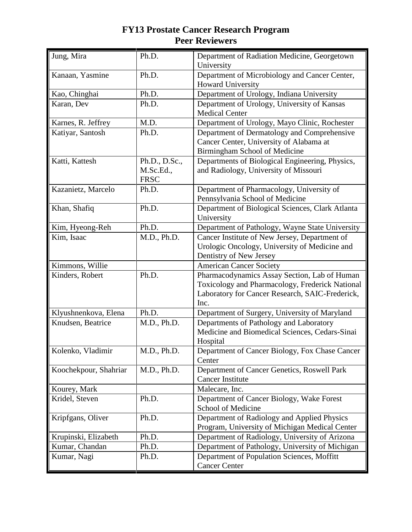| Jung, Mira            | Ph.D.                                     | Department of Radiation Medicine, Georgetown<br>University                                                                                                 |
|-----------------------|-------------------------------------------|------------------------------------------------------------------------------------------------------------------------------------------------------------|
| Kanaan, Yasmine       | Ph.D.                                     | Department of Microbiology and Cancer Center,<br><b>Howard University</b>                                                                                  |
| Kao, Chinghai         | Ph.D.                                     | Department of Urology, Indiana University                                                                                                                  |
| Karan, Dev            | Ph.D.                                     | Department of Urology, University of Kansas<br><b>Medical Center</b>                                                                                       |
| Karnes, R. Jeffrey    | M.D.                                      | Department of Urology, Mayo Clinic, Rochester                                                                                                              |
| Katiyar, Santosh      | Ph.D.                                     | Department of Dermatology and Comprehensive<br>Cancer Center, University of Alabama at<br>Birmingham School of Medicine                                    |
| Katti, Kattesh        | Ph.D., D.Sc.,<br>M.Sc.Ed.,<br><b>FRSC</b> | Departments of Biological Engineering, Physics,<br>and Radiology, University of Missouri                                                                   |
| Kazanietz, Marcelo    | Ph.D.                                     | Department of Pharmacology, University of<br>Pennsylvania School of Medicine                                                                               |
| Khan, Shafiq          | Ph.D.                                     | Department of Biological Sciences, Clark Atlanta<br>University                                                                                             |
| Kim, Hyeong-Reh       | Ph.D.                                     | Department of Pathology, Wayne State University                                                                                                            |
| Kim, Isaac            | M.D., Ph.D.                               | Cancer Institute of New Jersey, Department of<br>Urologic Oncology, University of Medicine and<br>Dentistry of New Jersey                                  |
| Kimmons, Willie       |                                           | <b>American Cancer Society</b>                                                                                                                             |
| Kinders, Robert       | Ph.D.                                     | Pharmacodynamics Assay Section, Lab of Human<br>Toxicology and Pharmacology, Frederick National<br>Laboratory for Cancer Research, SAIC-Frederick,<br>Inc. |
| Klyushnenkova, Elena  | Ph.D.                                     | Department of Surgery, University of Maryland                                                                                                              |
| Knudsen, Beatrice     | M.D., Ph.D.                               | Departments of Pathology and Laboratory<br>Medicine and Biomedical Sciences, Cedars-Sinai<br>Hospital                                                      |
| Kolenko, Vladimir     | M.D., Ph.D.                               | Department of Cancer Biology, Fox Chase Cancer<br>Center                                                                                                   |
| Koochekpour, Shahriar | M.D., Ph.D.                               | Department of Cancer Genetics, Roswell Park<br><b>Cancer Institute</b>                                                                                     |
| Kourey, Mark          |                                           | Malecare, Inc.                                                                                                                                             |
| Kridel, Steven        | Ph.D.                                     | Department of Cancer Biology, Wake Forest<br>School of Medicine                                                                                            |
| Kripfgans, Oliver     | Ph.D.                                     | Department of Radiology and Applied Physics<br>Program, University of Michigan Medical Center                                                              |
| Krupinski, Elizabeth  | Ph.D.                                     | Department of Radiology, University of Arizona                                                                                                             |
| Kumar, Chandan        | Ph.D.                                     | Department of Pathology, University of Michigan                                                                                                            |
| Kumar, Nagi           | Ph.D.                                     | Department of Population Sciences, Moffitt<br><b>Cancer Center</b>                                                                                         |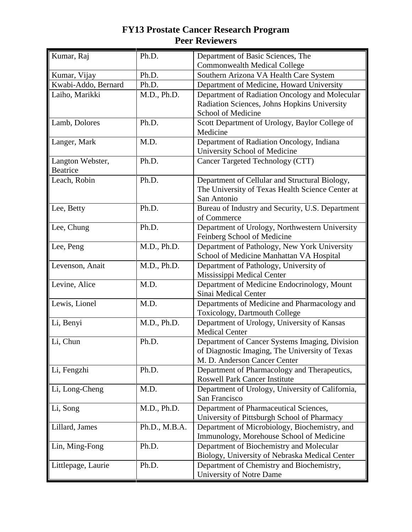| Kumar, Raj                          | Ph.D.         | Department of Basic Sciences, The<br><b>Commonwealth Medical College</b>                                                         |
|-------------------------------------|---------------|----------------------------------------------------------------------------------------------------------------------------------|
| Kumar, Vijay                        | Ph.D.         | Southern Arizona VA Health Care System                                                                                           |
| Kwabi-Addo, Bernard                 | Ph.D.         | Department of Medicine, Howard University                                                                                        |
| Laiho, Marikki                      | M.D., Ph.D.   | Department of Radiation Oncology and Molecular<br>Radiation Sciences, Johns Hopkins University<br>School of Medicine             |
| Lamb, Dolores                       | Ph.D.         | Scott Department of Urology, Baylor College of<br>Medicine                                                                       |
| Langer, Mark                        | M.D.          | Department of Radiation Oncology, Indiana<br>University School of Medicine                                                       |
| Langton Webster,<br><b>Beatrice</b> | Ph.D.         | Cancer Targeted Technology (CTT)                                                                                                 |
| Leach, Robin                        | Ph.D.         | Department of Cellular and Structural Biology,<br>The University of Texas Health Science Center at<br>San Antonio                |
| Lee, Betty                          | Ph.D.         | Bureau of Industry and Security, U.S. Department<br>of Commerce                                                                  |
| Lee, Chung                          | Ph.D.         | Department of Urology, Northwestern University<br>Feinberg School of Medicine                                                    |
| Lee, Peng                           | M.D., Ph.D.   | Department of Pathology, New York University<br>School of Medicine Manhattan VA Hospital                                         |
| Levenson, Anait                     | M.D., Ph.D.   | Department of Pathology, University of<br>Mississippi Medical Center                                                             |
| Levine, Alice                       | M.D.          | Department of Medicine Endocrinology, Mount<br>Sinai Medical Center                                                              |
| Lewis, Lionel                       | M.D.          | Departments of Medicine and Pharmacology and<br><b>Toxicology, Dartmouth College</b>                                             |
| Li, Benyi                           | M.D., Ph.D.   | Department of Urology, University of Kansas<br><b>Medical Center</b>                                                             |
| Li, Chun                            | Ph.D.         | Department of Cancer Systems Imaging, Division<br>of Diagnostic Imaging, The University of Texas<br>M. D. Anderson Cancer Center |
| Li, Fengzhi                         | Ph.D.         | Department of Pharmacology and Therapeutics,<br><b>Roswell Park Cancer Institute</b>                                             |
| Li, Long-Cheng                      | M.D.          | Department of Urology, University of California,<br>San Francisco                                                                |
| Li, Song                            | M.D., Ph.D.   | Department of Pharmaceutical Sciences,<br>University of Pittsburgh School of Pharmacy                                            |
| Lillard, James                      | Ph.D., M.B.A. | Department of Microbiology, Biochemistry, and<br>Immunology, Morehouse School of Medicine                                        |
| Lin, Ming-Fong                      | Ph.D.         | Department of Biochemistry and Molecular<br>Biology, University of Nebraska Medical Center                                       |
| Littlepage, Laurie                  | Ph.D.         | Department of Chemistry and Biochemistry,<br>University of Notre Dame                                                            |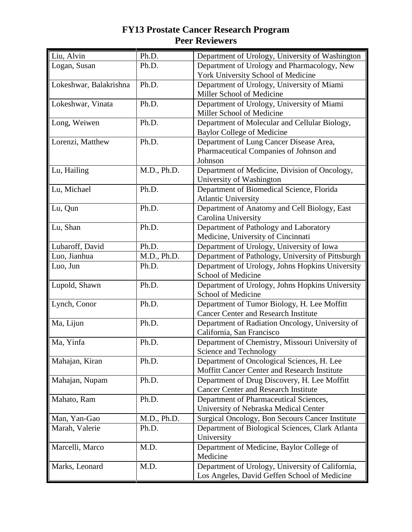| Liu, Alvin             | Ph.D.       | Department of Urology, University of Washington   |
|------------------------|-------------|---------------------------------------------------|
| Logan, Susan           | Ph.D.       | Department of Urology and Pharmacology, New       |
|                        |             | York University School of Medicine                |
| Lokeshwar, Balakrishna | Ph.D.       | Department of Urology, University of Miami        |
|                        |             | Miller School of Medicine                         |
| Lokeshwar, Vinata      | Ph.D.       | Department of Urology, University of Miami        |
|                        |             | Miller School of Medicine                         |
| Long, Weiwen           | Ph.D.       | Department of Molecular and Cellular Biology,     |
|                        |             | <b>Baylor College of Medicine</b>                 |
| Lorenzi, Matthew       | Ph.D.       | Department of Lung Cancer Disease Area,           |
|                        |             | Pharmaceutical Companies of Johnson and           |
|                        |             | Johnson                                           |
| Lu, Hailing            | M.D., Ph.D. | Department of Medicine, Division of Oncology,     |
|                        |             | University of Washington                          |
| Lu, Michael            | Ph.D.       | Department of Biomedical Science, Florida         |
|                        |             | <b>Atlantic University</b>                        |
| Lu, Qun                | Ph.D.       | Department of Anatomy and Cell Biology, East      |
|                        |             | Carolina University                               |
| Lu, Shan               | Ph.D.       | Department of Pathology and Laboratory            |
|                        |             | Medicine, University of Cincinnati                |
| Lubaroff, David        | Ph.D.       | Department of Urology, University of Iowa         |
| Luo, Jianhua           | M.D., Ph.D. | Department of Pathology, University of Pittsburgh |
| Luo, Jun               | Ph.D.       | Department of Urology, Johns Hopkins University   |
|                        |             | School of Medicine                                |
| Lupold, Shawn          | Ph.D.       | Department of Urology, Johns Hopkins University   |
|                        |             | School of Medicine                                |
| Lynch, Conor           | Ph.D.       | Department of Tumor Biology, H. Lee Moffitt       |
|                        |             | <b>Cancer Center and Research Institute</b>       |
| Ma, Lijun              | Ph.D.       | Department of Radiation Oncology, University of   |
|                        |             | California, San Francisco                         |
| Ma, Yinfa              | Ph.D.       | Department of Chemistry, Missouri University of   |
|                        |             | Science and Technology                            |
| Mahajan, Kiran         | Ph.D.       | Department of Oncological Sciences, H. Lee        |
|                        |             | Moffitt Cancer Center and Research Institute      |
| Mahajan, Nupam         | Ph.D.       | Department of Drug Discovery, H. Lee Moffitt      |
|                        |             | <b>Cancer Center and Research Institute</b>       |
| Mahato, Ram            | Ph.D.       | Department of Pharmaceutical Sciences,            |
|                        |             | University of Nebraska Medical Center             |
| Man, Yan-Gao           | M.D., Ph.D. | Surgical Oncology, Bon Secours Cancer Institute   |
| Marah, Valerie         | Ph.D.       | Department of Biological Sciences, Clark Atlanta  |
|                        |             | University                                        |
| Marcelli, Marco        | M.D.        | Department of Medicine, Baylor College of         |
|                        |             | Medicine                                          |
| Marks, Leonard         | M.D.        | Department of Urology, University of California,  |
|                        |             | Los Angeles, David Geffen School of Medicine      |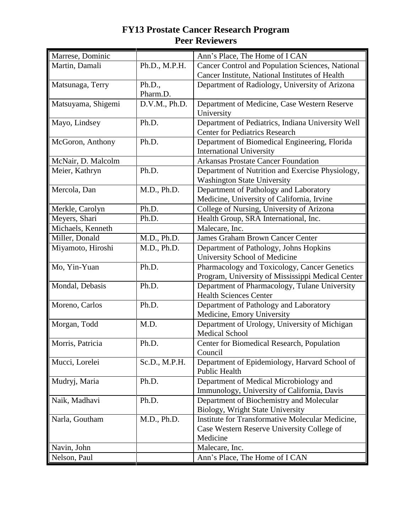| Marrese, Dominic   |               | Ann's Place, The Home of I CAN                    |
|--------------------|---------------|---------------------------------------------------|
| Martin, Damali     | Ph.D., M.P.H. | Cancer Control and Population Sciences, National  |
|                    |               | Cancer Institute, National Institutes of Health   |
| Matsunaga, Terry   | Ph.D.,        | Department of Radiology, University of Arizona    |
|                    | Pharm.D.      |                                                   |
| Matsuyama, Shigemi | D.V.M., Ph.D. | Department of Medicine, Case Western Reserve      |
|                    |               | University                                        |
| Mayo, Lindsey      | Ph.D.         | Department of Pediatrics, Indiana University Well |
|                    |               | <b>Center for Pediatrics Research</b>             |
| McGoron, Anthony   | Ph.D.         | Department of Biomedical Engineering, Florida     |
|                    |               | <b>International University</b>                   |
| McNair, D. Malcolm |               | <b>Arkansas Prostate Cancer Foundation</b>        |
| Meier, Kathryn     | Ph.D.         | Department of Nutrition and Exercise Physiology,  |
|                    |               | <b>Washington State University</b>                |
| Mercola, Dan       | M.D., Ph.D.   | Department of Pathology and Laboratory            |
|                    |               | Medicine, University of California, Irvine        |
| Merkle, Carolyn    | Ph.D.         | College of Nursing, University of Arizona         |
| Meyers, Shari      | Ph.D.         | Health Group, SRA International, Inc.             |
| Michaels, Kenneth  |               | Malecare, Inc.                                    |
| Miller, Donald     | M.D., Ph.D.   | <b>James Graham Brown Cancer Center</b>           |
| Miyamoto, Hiroshi  | M.D., Ph.D.   | Department of Pathology, Johns Hopkins            |
|                    |               | University School of Medicine                     |
| Mo, Yin-Yuan       | Ph.D.         | Pharmacology and Toxicology, Cancer Genetics      |
|                    |               | Program, University of Mississippi Medical Center |
| Mondal, Debasis    | Ph.D.         | Department of Pharmacology, Tulane University     |
|                    |               | <b>Health Sciences Center</b>                     |
| Moreno, Carlos     | Ph.D.         | Department of Pathology and Laboratory            |
|                    |               | Medicine, Emory University                        |
| Morgan, Todd       | M.D.          | Department of Urology, University of Michigan     |
|                    |               | <b>Medical School</b>                             |
| Morris, Patricia   | Ph.D.         | Center for Biomedical Research, Population        |
|                    |               | Council                                           |
| Mucci, Lorelei     | Sc.D., M.P.H. | Department of Epidemiology, Harvard School of     |
|                    |               | <b>Public Health</b>                              |
| Mudryj, Maria      | Ph.D.         | Department of Medical Microbiology and            |
|                    |               | Immunology, University of California, Davis       |
| Naik, Madhavi      | Ph.D.         | Department of Biochemistry and Molecular          |
|                    |               | Biology, Wright State University                  |
| Narla, Goutham     | M.D., Ph.D.   | Institute for Transformative Molecular Medicine,  |
|                    |               | Case Western Reserve University College of        |
|                    |               | Medicine                                          |
| Navin, John        |               | Malecare, Inc.                                    |
| Nelson, Paul       |               | Ann's Place, The Home of I CAN                    |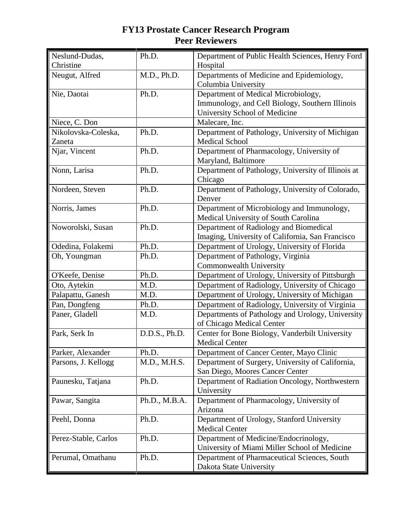| Neslund-Dudas,<br>Christine | Ph.D.         | Department of Public Health Sciences, Henry Ford<br>Hospital                                                            |
|-----------------------------|---------------|-------------------------------------------------------------------------------------------------------------------------|
| Neugut, Alfred              | M.D., Ph.D.   | Departments of Medicine and Epidemiology,<br>Columbia University                                                        |
| Nie, Daotai                 | Ph.D.         | Department of Medical Microbiology,<br>Immunology, and Cell Biology, Southern Illinois<br>University School of Medicine |
| Niece, C. Don               |               | Malecare, Inc.                                                                                                          |
| Nikolovska-Coleska,         | Ph.D.         | Department of Pathology, University of Michigan                                                                         |
| Zaneta                      |               | <b>Medical School</b>                                                                                                   |
| Njar, Vincent               | Ph.D.         | Department of Pharmacology, University of<br>Maryland, Baltimore                                                        |
| Nonn, Larisa                | Ph.D.         | Department of Pathology, University of Illinois at<br>Chicago                                                           |
| Nordeen, Steven             | Ph.D.         | Department of Pathology, University of Colorado,<br>Denver                                                              |
| Norris, James               | Ph.D.         | Department of Microbiology and Immunology,<br>Medical University of South Carolina                                      |
| Noworolski, Susan           | Ph.D.         | Department of Radiology and Biomedical<br>Imaging, University of California, San Francisco                              |
| Odedina, Folakemi           | Ph.D.         | Department of Urology, University of Florida                                                                            |
| Oh, Youngman                | Ph.D.         | Department of Pathology, Virginia<br>Commonwealth University                                                            |
| O'Keefe, Denise             | Ph.D.         | Department of Urology, University of Pittsburgh                                                                         |
| Oto, Aytekin                | M.D.          | Department of Radiology, University of Chicago                                                                          |
| Palapattu, Ganesh           | M.D.          | Department of Urology, University of Michigan                                                                           |
| Pan, Dongfeng               | Ph.D.         | Department of Radiology, University of Virginia                                                                         |
| Paner, Gladell              | M.D.          | Departments of Pathology and Urology, University<br>of Chicago Medical Center                                           |
| Park, Serk In               | D.D.S., Ph.D. | Center for Bone Biology, Vanderbilt University<br><b>Medical Center</b>                                                 |
| Parker, Alexander           | Ph.D.         | Department of Cancer Center, Mayo Clinic                                                                                |
| Parsons, J. Kellogg         | M.D., M.H.S.  | Department of Surgery, University of California,<br>San Diego, Moores Cancer Center                                     |
| Paunesku, Tatjana           | Ph.D.         | Department of Radiation Oncology, Northwestern<br>University                                                            |
| Pawar, Sangita              | Ph.D., M.B.A. | Department of Pharmacology, University of<br>Arizona                                                                    |
| Peehl, Donna                | Ph.D.         | Department of Urology, Stanford University<br><b>Medical Center</b>                                                     |
| Perez-Stable, Carlos        | Ph.D.         | Department of Medicine/Endocrinology,<br>University of Miami Miller School of Medicine                                  |
| Perumal, Omathanu           | Ph.D.         | Department of Pharmaceutical Sciences, South<br>Dakota State University                                                 |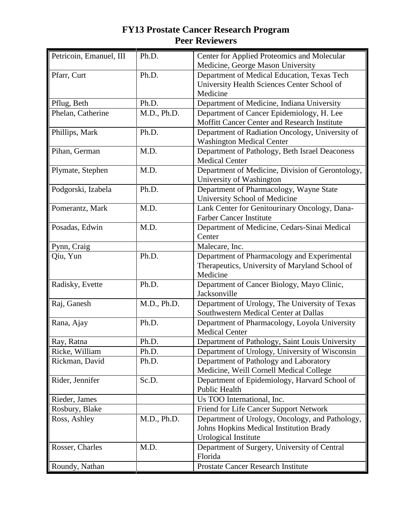| Petricoin, Emanuel, III | Ph.D.       | Center for Applied Proteomics and Molecular<br>Medicine, George Mason University |
|-------------------------|-------------|----------------------------------------------------------------------------------|
| Pfarr, Curt             | Ph.D.       | Department of Medical Education, Texas Tech                                      |
|                         |             | University Health Sciences Center School of                                      |
|                         |             | Medicine                                                                         |
| Pflug, Beth             | Ph.D.       | Department of Medicine, Indiana University                                       |
| Phelan, Catherine       | M.D., Ph.D. | Department of Cancer Epidemiology, H. Lee                                        |
|                         |             | Moffitt Cancer Center and Research Institute                                     |
| Phillips, Mark          | Ph.D.       | Department of Radiation Oncology, University of                                  |
|                         |             | <b>Washington Medical Center</b>                                                 |
| Pihan, German           | M.D.        | Department of Pathology, Beth Israel Deaconess                                   |
|                         |             | <b>Medical Center</b>                                                            |
| Plymate, Stephen        | M.D.        | Department of Medicine, Division of Gerontology,                                 |
|                         |             | University of Washington                                                         |
| Podgorski, Izabela      | Ph.D.       | Department of Pharmacology, Wayne State                                          |
|                         |             | University School of Medicine                                                    |
| Pomerantz, Mark         | M.D.        | Lank Center for Genitourinary Oncology, Dana-                                    |
|                         |             | <b>Farber Cancer Institute</b>                                                   |
| Posadas, Edwin          | M.D.        | Department of Medicine, Cedars-Sinai Medical                                     |
|                         |             | Center                                                                           |
| Pynn, Craig             |             | Malecare, Inc.                                                                   |
| Qiu, Yun                | Ph.D.       | Department of Pharmacology and Experimental                                      |
|                         |             | Therapeutics, University of Maryland School of                                   |
|                         |             | Medicine                                                                         |
| Radisky, Evette         | Ph.D.       | Department of Cancer Biology, Mayo Clinic,<br>Jacksonville                       |
| Raj, Ganesh             | M.D., Ph.D. | Department of Urology, The University of Texas                                   |
|                         |             | Southwestern Medical Center at Dallas                                            |
| Rana, Ajay              | Ph.D.       | Department of Pharmacology, Loyola University                                    |
|                         |             | <b>Medical Center</b>                                                            |
| Ray, Ratna              | Ph.D.       | Department of Pathology, Saint Louis University                                  |
| Ricke, William          | Ph.D.       | Department of Urology, University of Wisconsin                                   |
| Rickman, David          | Ph.D.       | Department of Pathology and Laboratory                                           |
|                         |             | Medicine, Weill Cornell Medical College                                          |
| Rider, Jennifer         | Sc.D.       | Department of Epidemiology, Harvard School of                                    |
|                         |             | <b>Public Health</b>                                                             |
| Rieder, James           |             | Us TOO International, Inc.                                                       |
| Rosbury, Blake          |             | Friend for Life Cancer Support Network                                           |
| Ross, Ashley            | M.D., Ph.D. | Department of Urology, Oncology, and Pathology,                                  |
|                         |             | Johns Hopkins Medical Institution Brady                                          |
|                         |             | Urological Institute                                                             |
| Rosser, Charles         | M.D.        | Department of Surgery, University of Central                                     |
|                         |             | Florida                                                                          |
| Roundy, Nathan          |             | <b>Prostate Cancer Research Institute</b>                                        |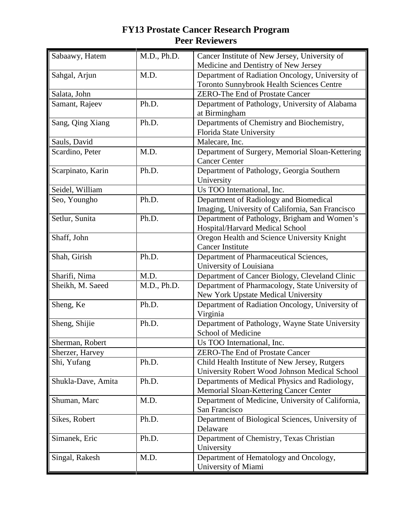| Sabaawy, Hatem     | M.D., Ph.D. | Cancer Institute of New Jersey, University of<br>Medicine and Dentistry of New Jersey               |
|--------------------|-------------|-----------------------------------------------------------------------------------------------------|
| Sahgal, Arjun      | M.D.        | Department of Radiation Oncology, University of<br><b>Toronto Sunnybrook Health Sciences Centre</b> |
| Salata, John       |             | <b>ZERO-The End of Prostate Cancer</b>                                                              |
| Samant, Rajeev     | Ph.D.       | Department of Pathology, University of Alabama<br>at Birmingham                                     |
| Sang, Qing Xiang   | Ph.D.       | Departments of Chemistry and Biochemistry,<br>Florida State University                              |
| Sauls, David       |             | Malecare, Inc.                                                                                      |
| Scardino, Peter    | M.D.        | Department of Surgery, Memorial Sloan-Kettering<br><b>Cancer Center</b>                             |
| Scarpinato, Karin  | Ph.D.       | Department of Pathology, Georgia Southern<br>University                                             |
| Seidel, William    |             | Us TOO International, Inc.                                                                          |
| Seo, Youngho       | Ph.D.       | Department of Radiology and Biomedical<br>Imaging, University of California, San Francisco          |
| Setlur, Sunita     | Ph.D.       | Department of Pathology, Brigham and Women's<br>Hospital/Harvard Medical School                     |
| Shaff, John        |             | Oregon Health and Science University Knight<br><b>Cancer Institute</b>                              |
| Shah, Girish       | Ph.D.       | Department of Pharmaceutical Sciences,<br>University of Louisiana                                   |
| Sharifi, Nima      | M.D.        | Department of Cancer Biology, Cleveland Clinic                                                      |
| Sheikh, M. Saeed   | M.D., Ph.D. | Department of Pharmacology, State University of<br>New York Upstate Medical University              |
| Sheng, Ke          | Ph.D.       | Department of Radiation Oncology, University of<br>Virginia                                         |
| Sheng, Shijie      | Ph.D.       | Department of Pathology, Wayne State University<br>School of Medicine                               |
| Sherman, Robert    |             | Us TOO International, Inc.                                                                          |
| Sherzer, Harvey    |             | ZERO-The End of Prostate Cancer                                                                     |
| Shi, Yufang        | Ph.D.       | Child Health Institute of New Jersey, Rutgers<br>University Robert Wood Johnson Medical School      |
| Shukla-Dave, Amita | Ph.D.       | Departments of Medical Physics and Radiology,<br>Memorial Sloan-Kettering Cancer Center             |
| Shuman, Marc       | M.D.        | Department of Medicine, University of California,<br>San Francisco                                  |
| Sikes, Robert      | Ph.D.       | Department of Biological Sciences, University of<br>Delaware                                        |
| Simanek, Eric      | Ph.D.       | Department of Chemistry, Texas Christian<br>University                                              |
| Singal, Rakesh     | M.D.        | Department of Hematology and Oncology,<br>University of Miami                                       |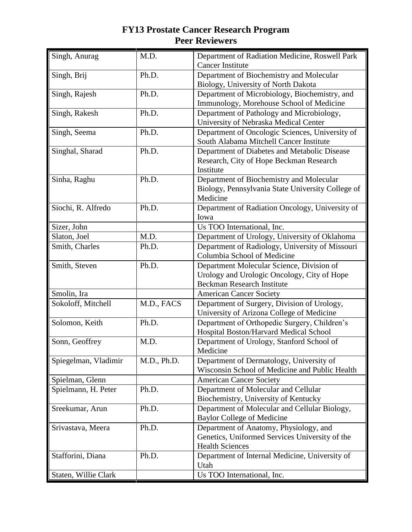| Singh, Anurag        | M.D.        | Department of Radiation Medicine, Roswell Park<br><b>Cancer Institute</b>                                                     |
|----------------------|-------------|-------------------------------------------------------------------------------------------------------------------------------|
| Singh, Brij          | Ph.D.       | Department of Biochemistry and Molecular<br>Biology, University of North Dakota                                               |
| Singh, Rajesh        | Ph.D.       | Department of Microbiology, Biochemistry, and<br>Immunology, Morehouse School of Medicine                                     |
| Singh, Rakesh        | Ph.D.       | Department of Pathology and Microbiology,<br>University of Nebraska Medical Center                                            |
| Singh, Seema         | Ph.D.       | Department of Oncologic Sciences, University of<br>South Alabama Mitchell Cancer Institute                                    |
| Singhal, Sharad      | Ph.D.       | Department of Diabetes and Metabolic Disease<br>Research, City of Hope Beckman Research<br>Institute                          |
| Sinha, Raghu         | Ph.D.       | Department of Biochemistry and Molecular<br>Biology, Pennsylvania State University College of<br>Medicine                     |
| Siochi, R. Alfredo   | Ph.D.       | Department of Radiation Oncology, University of<br>Iowa                                                                       |
| Sizer, John          |             | Us TOO International, Inc.                                                                                                    |
| Slaton, Joel         | M.D.        | Department of Urology, University of Oklahoma                                                                                 |
| Smith, Charles       | Ph.D.       | Department of Radiology, University of Missouri<br>Columbia School of Medicine                                                |
| Smith, Steven        | Ph.D.       | Department Molecular Science, Division of<br>Urology and Urologic Oncology, City of Hope<br><b>Beckman Research Institute</b> |
| Smolin, Ira          |             | <b>American Cancer Society</b>                                                                                                |
| Sokoloff, Mitchell   | M.D., FACS  | Department of Surgery, Division of Urology,<br>University of Arizona College of Medicine                                      |
| Solomon, Keith       | Ph.D.       | Department of Orthopedic Surgery, Children's<br>Hospital Boston/Harvard Medical School                                        |
| Sonn, Geoffrey       | M.D.        | Department of Urology, Stanford School of<br>Medicine                                                                         |
| Spiegelman, Vladimir | M.D., Ph.D. | Department of Dermatology, University of<br>Wisconsin School of Medicine and Public Health                                    |
| Spielman, Glenn      |             | <b>American Cancer Society</b>                                                                                                |
| Spielmann, H. Peter  | Ph.D.       | Department of Molecular and Cellular<br>Biochemistry, University of Kentucky                                                  |
| Sreekumar, Arun      | Ph.D.       | Department of Molecular and Cellular Biology,<br><b>Baylor College of Medicine</b>                                            |
| Srivastava, Meera    | Ph.D.       | Department of Anatomy, Physiology, and<br>Genetics, Uniformed Services University of the<br><b>Health Sciences</b>            |
| Stafforini, Diana    | Ph.D.       | Department of Internal Medicine, University of<br>Utah                                                                        |
| Staten, Willie Clark |             | Us TOO International, Inc.                                                                                                    |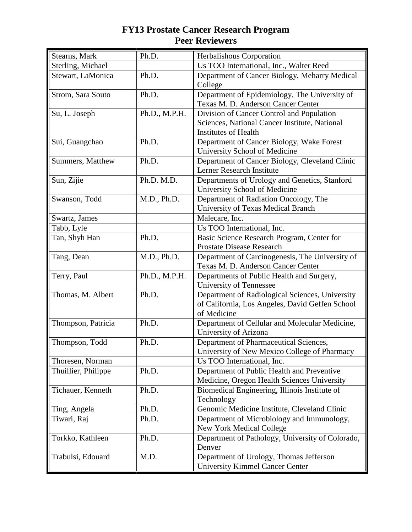| Stearns, Mark       | Ph.D.         | Herbalishous Corporation                         |
|---------------------|---------------|--------------------------------------------------|
| Sterling, Michael   |               | Us TOO International, Inc., Walter Reed          |
| Stewart, LaMonica   | Ph.D.         | Department of Cancer Biology, Meharry Medical    |
|                     |               | College                                          |
| Strom, Sara Souto   | Ph.D.         | Department of Epidemiology, The University of    |
|                     |               | Texas M. D. Anderson Cancer Center               |
| Su, L. Joseph       | Ph.D., M.P.H. | Division of Cancer Control and Population        |
|                     |               | Sciences, National Cancer Institute, National    |
|                     |               | <b>Institutes of Health</b>                      |
| Sui, Guangchao      | Ph.D.         | Department of Cancer Biology, Wake Forest        |
|                     |               | University School of Medicine                    |
| Summers, Matthew    | Ph.D.         | Department of Cancer Biology, Cleveland Clinic   |
|                     |               | Lerner Research Institute                        |
| Sun, Zijie          | Ph.D. M.D.    | Departments of Urology and Genetics, Stanford    |
|                     |               | University School of Medicine                    |
| Swanson, Todd       | M.D., Ph.D.   | Department of Radiation Oncology, The            |
|                     |               | University of Texas Medical Branch               |
| Swartz, James       |               | Malecare, Inc.                                   |
| Tabb, Lyle          |               | Us TOO International, Inc.                       |
| Tan, Shyh Han       | Ph.D.         | Basic Science Research Program, Center for       |
|                     |               | <b>Prostate Disease Research</b>                 |
| Tang, Dean          | M.D., Ph.D.   | Department of Carcinogenesis, The University of  |
|                     |               | Texas M. D. Anderson Cancer Center               |
| Terry, Paul         | Ph.D., M.P.H. | Departments of Public Health and Surgery,        |
|                     |               | University of Tennessee                          |
| Thomas, M. Albert   | Ph.D.         | Department of Radiological Sciences, University  |
|                     |               | of California, Los Angeles, David Geffen School  |
|                     |               | of Medicine                                      |
| Thompson, Patricia  | Ph.D.         | Department of Cellular and Molecular Medicine,   |
|                     |               | University of Arizona                            |
| Thompson, Todd      | Ph.D.         | Department of Pharmaceutical Sciences,           |
|                     |               | University of New Mexico College of Pharmacy     |
| Thoresen, Norman    |               | Us TOO International, Inc.                       |
| Thuillier, Philippe | Ph.D.         | Department of Public Health and Preventive       |
|                     |               | Medicine, Oregon Health Sciences University      |
| Tichauer, Kenneth   | Ph.D.         | Biomedical Engineering, Illinois Institute of    |
|                     |               | Technology                                       |
| Ting, Angela        | Ph.D.         | Genomic Medicine Institute, Cleveland Clinic     |
| Tiwari, Raj         | Ph.D.         | Department of Microbiology and Immunology,       |
|                     |               | <b>New York Medical College</b>                  |
| Torkko, Kathleen    | Ph.D.         | Department of Pathology, University of Colorado, |
|                     |               | Denver                                           |
| Trabulsi, Edouard   | M.D.          | Department of Urology, Thomas Jefferson          |
|                     |               | <b>University Kimmel Cancer Center</b>           |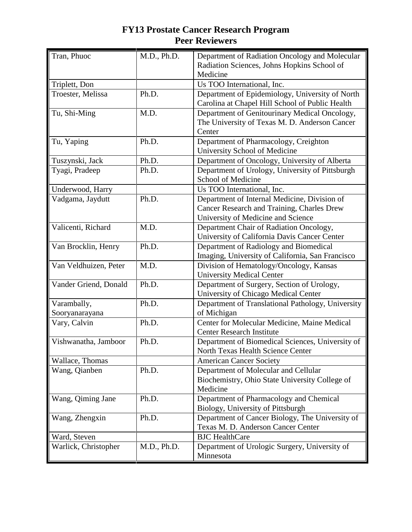| Tran, Phuoc                   | M.D., Ph.D. | Department of Radiation Oncology and Molecular<br>Radiation Sciences, Johns Hopkins School of<br>Medicine                        |
|-------------------------------|-------------|----------------------------------------------------------------------------------------------------------------------------------|
| Triplett, Don                 |             | Us TOO International, Inc.                                                                                                       |
| Troester, Melissa             | Ph.D.       | Department of Epidemiology, University of North<br>Carolina at Chapel Hill School of Public Health                               |
| Tu, Shi-Ming                  | M.D.        | Department of Genitourinary Medical Oncology,<br>The University of Texas M. D. Anderson Cancer<br>Center                         |
| Tu, Yaping                    | Ph.D.       | Department of Pharmacology, Creighton<br>University School of Medicine                                                           |
| Tuszynski, Jack               | Ph.D.       | Department of Oncology, University of Alberta                                                                                    |
| Tyagi, Pradeep                | Ph.D.       | Department of Urology, University of Pittsburgh<br>School of Medicine                                                            |
| Underwood, Harry              |             | Us TOO International, Inc.                                                                                                       |
| Vadgama, Jaydutt              | Ph.D.       | Department of Internal Medicine, Division of<br>Cancer Research and Training, Charles Drew<br>University of Medicine and Science |
| Valicenti, Richard            | M.D.        | Department Chair of Radiation Oncology,<br>University of California Davis Cancer Center                                          |
| Van Brocklin, Henry           | Ph.D.       | Department of Radiology and Biomedical<br>Imaging, University of California, San Francisco                                       |
| Van Veldhuizen, Peter         | M.D.        | Division of Hematology/Oncology, Kansas<br><b>University Medical Center</b>                                                      |
| Vander Griend, Donald         | Ph.D.       | Department of Surgery, Section of Urology,<br>University of Chicago Medical Center                                               |
| Varambally,<br>Sooryanarayana | Ph.D.       | Department of Translational Pathology, University<br>of Michigan                                                                 |
| Vary, Calvin                  | Ph.D.       | Center for Molecular Medicine, Maine Medical<br><b>Center Research Institute</b>                                                 |
| Vishwanatha, Jamboor          | Ph.D.       | Department of Biomedical Sciences, University of<br>North Texas Health Science Center                                            |
| Wallace, Thomas               |             | <b>American Cancer Society</b>                                                                                                   |
| Wang, Qianben                 | Ph.D.       | Department of Molecular and Cellular<br>Biochemistry, Ohio State University College of<br>Medicine                               |
| Wang, Qiming Jane             | Ph.D.       | Department of Pharmacology and Chemical<br>Biology, University of Pittsburgh                                                     |
| Wang, Zhengxin                | Ph.D.       | Department of Cancer Biology, The University of<br>Texas M. D. Anderson Cancer Center                                            |
| Ward, Steven                  |             | <b>BJC</b> HealthCare                                                                                                            |
| Warlick, Christopher          | M.D., Ph.D. | Department of Urologic Surgery, University of<br>Minnesota                                                                       |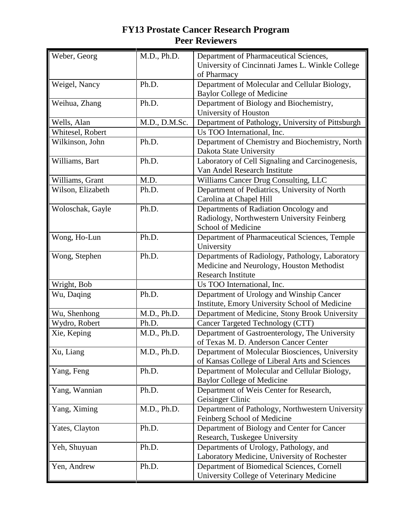| Weber, Georg      | M.D., Ph.D.   | Department of Pharmaceutical Sciences,                                          |
|-------------------|---------------|---------------------------------------------------------------------------------|
|                   |               | University of Cincinnati James L. Winkle College                                |
|                   |               | of Pharmacy                                                                     |
| Weigel, Nancy     | Ph.D.         | Department of Molecular and Cellular Biology,                                   |
|                   |               | <b>Baylor College of Medicine</b>                                               |
| Weihua, Zhang     | Ph.D.         | Department of Biology and Biochemistry,                                         |
|                   |               | University of Houston                                                           |
| Wells, Alan       | M.D., D.M.Sc. | Department of Pathology, University of Pittsburgh                               |
| Whitesel, Robert  |               | Us TOO International, Inc.                                                      |
| Wilkinson, John   | Ph.D.         | Department of Chemistry and Biochemistry, North                                 |
|                   |               | Dakota State University                                                         |
| Williams, Bart    | Ph.D.         | Laboratory of Cell Signaling and Carcinogenesis,                                |
|                   |               | Van Andel Research Institute                                                    |
| Williams, Grant   | M.D.          | Williams Cancer Drug Consulting, LLC                                            |
| Wilson, Elizabeth | Ph.D.         | Department of Pediatrics, University of North                                   |
|                   |               | Carolina at Chapel Hill                                                         |
| Woloschak, Gayle  | Ph.D.         | Departments of Radiation Oncology and                                           |
|                   |               | Radiology, Northwestern University Feinberg                                     |
|                   |               | School of Medicine                                                              |
| Wong, Ho-Lun      | Ph.D.         | Department of Pharmaceutical Sciences, Temple                                   |
|                   |               | University                                                                      |
| Wong, Stephen     | Ph.D.         | Departments of Radiology, Pathology, Laboratory                                 |
|                   |               | Medicine and Neurology, Houston Methodist                                       |
|                   |               | <b>Research Institute</b>                                                       |
| Wright, Bob       |               | Us TOO International, Inc.                                                      |
| Wu, Daqing        | Ph.D.         | Department of Urology and Winship Cancer                                        |
|                   |               | Institute, Emory University School of Medicine                                  |
| Wu, Shenhong      | M.D., Ph.D.   | Department of Medicine, Stony Brook University                                  |
| Wydro, Robert     | Ph.D.         | Cancer Targeted Technology (CTT)                                                |
| Xie, Keping       | M.D., Ph.D.   | Department of Gastroenterology, The University                                  |
|                   |               | of Texas M. D. Anderson Cancer Center                                           |
| Xu, Liang         | M.D., Ph.D.   | Department of Molecular Biosciences, University                                 |
|                   |               | of Kansas College of Liberal Arts and Sciences                                  |
| Yang, Feng        | Ph.D.         | Department of Molecular and Cellular Biology,                                   |
|                   |               | <b>Baylor College of Medicine</b>                                               |
| Yang, Wannian     | Ph.D.         | Department of Weis Center for Research,                                         |
|                   |               | Geisinger Clinic                                                                |
| Yang, Ximing      | M.D., Ph.D.   | Department of Pathology, Northwestern University<br>Feinberg School of Medicine |
| Yates, Clayton    | Ph.D.         | Department of Biology and Center for Cancer                                     |
|                   |               | Research, Tuskegee University                                                   |
| Yeh, Shuyuan      | Ph.D.         | Departments of Urology, Pathology, and                                          |
|                   |               | Laboratory Medicine, University of Rochester                                    |
| Yen, Andrew       | Ph.D.         | Department of Biomedical Sciences, Cornell                                      |
|                   |               |                                                                                 |
|                   |               | University College of Veterinary Medicine                                       |